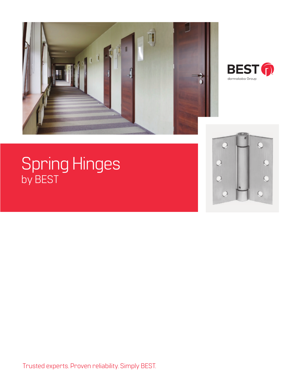



# Spring Hinges by BEST



Trusted experts. Proven reliability. Simply BEST.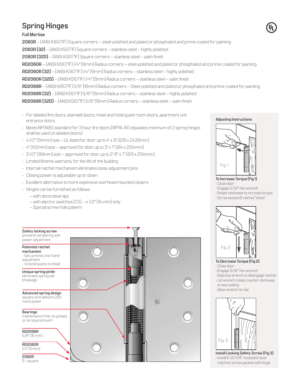# **Spring Hinges**

# **Full Mortise**

**2060R** – (ANSI K81071F) Square corners – steel-polished and plated or phosphated and prime coated for painting **2060R (32)** – (ANSI K51071F) Square corners – stainless steel – highly polished **2060R (32D)** – (ANSI K51071F) Square corners – stainless steel – satin finish **RD2060R** – (ANSI K81071F) 1/4" (6mm) Radius corners – steel-polished and plated or phosphated and prime coated for painting **RD2060R (32)** – (ANSI K51071F) 1/4" (6mm) Radius corners – stainless steel – highly polished **RD2060R (32D)** – (ANSI K51071F) 1/4" (6mm) Radius corners – stainless steel – satin finish **RD2068R** – (ANSI K81071F) 5/8" (16mm) Radius corners – Steel-polished and plated or phosphated and prime coated for painting **RD2068R (32)** – (ANSI K51071F) 5/8" (16mm) Radius corners – stainless steel – highly polished **RD2068R (32D)** – (ANSI K51071F) 5/8" (16mm) Radius corners – stainless steel – satin finish

- For labeled fire doors, stairwell doors, motel and hotel guest room doors, apartment unit entrance doors.
- Meets NFPA80 standard for 3 hour fire doors (NFPA-80 stipulates minimum of 2 spring hinges shall be used on labeled doors)
- $\cdot$  4 1/2" (114mm) size UL listed for door up to 4' x 8' (1219 x 2438mm)
- $\cdot$  4" (102mm) size approved for door up to 3' x 7' (914 x 2134mm)
- $\cdot$  3 1/2" (89mm) size approved for door up to 2' 8" x 7' (813 x 2134mm)
- Limited lifetime warranty for the life of the building
- Internal ratchet mechanism eliminates loose adjustment pins
- Closing power is adjustable up or down
- Excellent alternative to more expensive overhead mounted closers
- Hinges can be furnished as follows:
	- with decorative tips
	- with electric switches (CS) 4 1/2" (114 mm) only
	- Special screw hole pattern





**To Increase Torque (Fig 1)** • Close door

- 
- Engage 5/32" hex wrench • Rotate clockwise to increase torque
- Do not exceed 6 ratchet "clicks"



- **To Decrease Torque (Fig 2)**
- Close door
- Engage 5/32" hex wrench
- Depress wrench to disengage ratchet
- Let wrench rotate counter-clockwise
- to new setting
- Allow wrench to rise



**Install Locking Safety Screw (Fig 3)** • Install 6-32 5/8" recessed head machine screw packed with hinge

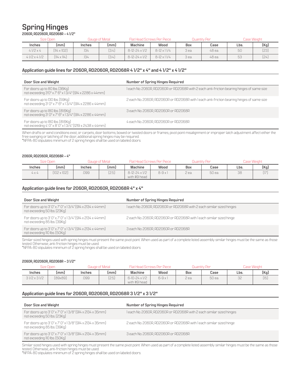# **Spring Hinges**

**2060R, RD2060R, RD2068R – 4 1/2"**

|               | Size Open<br>Gauge of Metal |        |       | Quantity Per<br>Flat Head Screws Per Piece |                    |       |        | Case Weight |      |
|---------------|-----------------------------|--------|-------|--------------------------------------------|--------------------|-------|--------|-------------|------|
| Inches        | lmm J                       | Inches | lmmJ  | Machine                                    | Wood               | Box   | Case   | Lbs.        | [Kg] |
| $41/2\times4$ | $[1]4 \times 102]$          | .134   | [3.4] | $8-12-24 \times 1/2$                       | $8-12 \times 11/4$ | 3 ea. | 48 ea. | 50          | [23] |
| 41/2 x 41/2   | $[1]4 \times 1]4]$          | .134   | [3.4] | $8-12-24 \times 1/2$                       | $8-12 \times 11/4$ | 3 ea. | 48 ea. | 53          | [24] |

# **Application guide lines for 2060R, RD2060R, RD2068R 4 1/2" x 4" and 4 1/2" x 4 1/2"**

| Door Size and Weight                                                                           | Number of Spring Hinges Required                                                           |
|------------------------------------------------------------------------------------------------|--------------------------------------------------------------------------------------------|
| For doors up to 80 lbs. (36Kg)<br>not exceeding 3'0" x 7' 6" x 13/4" (914 x 2286 x 44mm)       | 1 each No. 2060R, RD2060R or RD2068R with 2 each anti-friction bearing hinges of same size |
| For doors up to 130 lbs. (59Kg)<br>not exceeding 3' 0" x 7' 6" x 1 3/4" (914 x 2286 x 44mm)    | 2 each No. 2060R, RD2060R or RD2068R with I each anti-friction bearing hinges of same size |
| For doors up to 180 lbs. (81.6Kg)<br>not exceeding 3' 0" x 7' 6" x 1 3/4" (914 x 2286 x 44mm)  | 3 each No. 2060R, RD2060R or RD2068R                                                       |
| For doors up to 180 lbs. (81.6Kg)<br>not exceeding 4' 0" x 8' 0" x 1 3/4" (1219 x 2438 x 44mm) | 4 each No. 2060R, RD2060R or RD2068R                                                       |

When drafts or wind conditions exist, or carpets, door bottoms, bowed or twisted doors or frames, pivot point misalignment or improper latch adjustment affect either the free swinging or latching of the door, additional spring hinges may be required. \*NFPA-80 stipulates minimum of 2 spring hinges shall be used on labeled doors.

#### **2060R, RD2060R, RD2068R – 4"**

| Size Open    |                    |        | Gauge of Metal |                                      | <b>Flat Head Screws Per Piece</b> |       | Juantity Per |      | Case Weight |  |
|--------------|--------------------|--------|----------------|--------------------------------------|-----------------------------------|-------|--------------|------|-------------|--|
| Inches       | lmm J              | Inches | lmm J          | Machine                              | Wood                              | Box   | Case         | Lbs. | (Kq)        |  |
| $4 \times 4$ | $[102 \times 102]$ | 099    | [25]           | $8-12-24 \times 1/2$<br>with #9 head | $8-9x$                            | 2 ea. | 50 ea.       | 38   | (17)<br>ιı. |  |

# **Application guide lines for 2060R, RD2060R, RD2068R 4" x 4"**

| Door Size and Weight                                                                       | Number of Spring Hinges Required                                      |
|--------------------------------------------------------------------------------------------|-----------------------------------------------------------------------|
| For doors up to 3' 0" x 7' 0" x 13/4" (914 x 2134 x 44mm)<br>not exceeding 50 lbs. (23Kg)  | I each No. 2060R, RD2060R or RD2068R with 2 each similar sized hinges |
| For doors up to 3' 0" x 7' 0" x 13/4" (914 x 2134 x 44mm)<br>not exceeding 85 lbs. (39Kg)  | 2 each No. 2060R, RD2060R or RD2068R with I each similar sized hinge  |
| For doors up to 3' 0" x 7' 0" x 13/4" [914 x 2134 x 44mm]<br>not exceeding 110 lbs. (50Kg) | 3 each No. 2060R, RD2060R or RD2068R                                  |

Similar sized hinges used with spring hinges must present the same pivot point. When used as part of a complete listed assembly similar hinges must be the same as those tested. Otherwise, anti-friction hinges must be used.

\*NFPA-80 stipulates minimum of 2 spring hinges shall be used on labeled doors.

#### **2060R, RD2060R, RD2068R – 3 1/2"**

| Size Open<br>Gauge of Metal |         | <b>Flat Head Screws Per Piece</b> |       | <b>Ouantity Per</b>                  |        | Case Weight |        |      |      |
|-----------------------------|---------|-----------------------------------|-------|--------------------------------------|--------|-------------|--------|------|------|
| Inches                      | (mm)    | <i><b>Inches</b></i>              | lmmJ  | Machine                              | Wood   | Box         | Case   | Lbs. | (Kq) |
| $31/2 \times 31/2$          | [89x89] | 099                               | (2.5) | $6-10-24 \times 1/2$<br>with #9 head | $6-9x$ | 2 ea.       | 50 ea. | 32   | (15) |

## **Application guide lines for 2060R, RD2060R, RD2068R 3 1/2" x 3 1/2"**

| Door Size and Weight                                                                       | Number of Spring Hinges Required                                      |
|--------------------------------------------------------------------------------------------|-----------------------------------------------------------------------|
| For doors up to 3' 0" x 7' 0" x 13/8" [914 x 2134 x 35mm]<br>not exceeding 50 lbs. [23Kg]  | I each No. 2060R, RD2060R or RD2068R with 2 each similar sized hinges |
| For doors up to 3' 0" x 7' 0" x 1 3/8" (914 x 2134 x 35mm)<br>not exceeding 85 lbs. (39Kg) | 2 each No. 2060R, RD2060R or RD2068R with I each similar sized hinge  |
| For doors up to 3' 0" x 7' 0" x 13/8" [914 x 2134 x 35mm]<br>not exceeding 110 lbs. (50Kg) | 3 each No. 2060R, RD2060R or RD2068R                                  |

Similar sized hinges used with spring hinges must present the same pivot point. When used as part of a complete listed assembly similar hinges must be the same as those<br>tested. Otherwise, anti-friction hinges must be used.